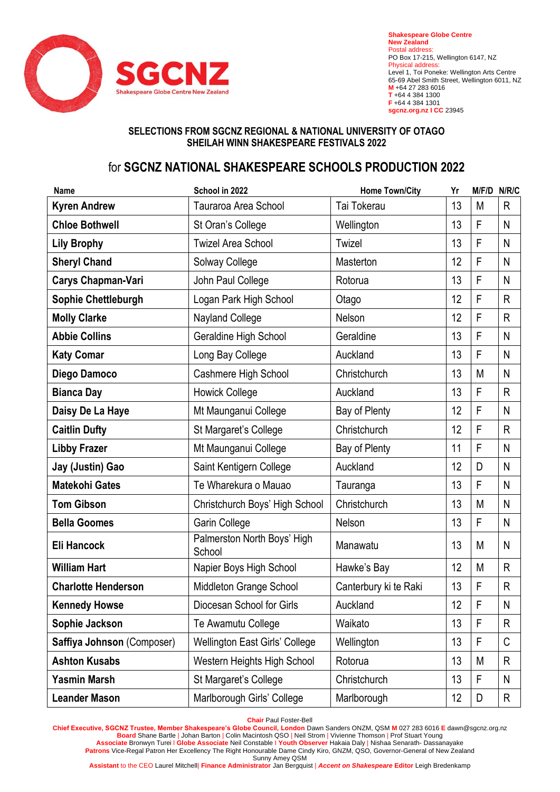

**Shakespeare Globe Centre New Zealand** Postal address: PO Box 17-215, Wellington 6147, NZ Physical address: Level 1, Toi Poneke: Wellington Arts Centre 65-69 Abel Smith Street, Wellington 6011, NZ **M** +64 27 283 6016 **T** +64 4 384 1300 **F** +64 4 384 1301 **sgcnz.org.nz I CC** 23945

## **SELECTIONS FROM SGCNZ REGIONAL & NATIONAL UNIVERSITY OF OTAGO SHEILAH WINN SHAKESPEARE FESTIVALS 2022**

## for **SGCNZ NATIONAL SHAKESPEARE SCHOOLS PRODUCTION 2022**

| Name                       | School in 2022                        | <b>Home Town/City</b> | Yr | M/F/D N/R/C |              |
|----------------------------|---------------------------------------|-----------------------|----|-------------|--------------|
| <b>Kyren Andrew</b>        | Tauraroa Area School                  | Tai Tokerau           | 13 | M           | R            |
| <b>Chloe Bothwell</b>      | St Oran's College                     | Wellington            | 13 | F           | N            |
| <b>Lily Brophy</b>         | <b>Twizel Area School</b>             | Twizel                | 13 | F           | N            |
| <b>Sheryl Chand</b>        | Solway College                        | Masterton             | 12 | F           | N            |
| <b>Carys Chapman-Vari</b>  | John Paul College                     | Rotorua               | 13 | F           | N            |
| Sophie Chettleburgh        | Logan Park High School                | Otago                 | 12 | F           | $\mathsf{R}$ |
| <b>Molly Clarke</b>        | Nayland College                       | Nelson                | 12 | F           | R            |
| <b>Abbie Collins</b>       | Geraldine High School                 | Geraldine             | 13 | F           | N            |
| <b>Katy Comar</b>          | Long Bay College                      | Auckland              | 13 | F           | N            |
| Diego Damoco               | Cashmere High School                  | Christchurch          | 13 | M           | $\mathsf{N}$ |
| <b>Bianca Day</b>          | <b>Howick College</b>                 | Auckland              | 13 | F           | R            |
| Daisy De La Haye           | Mt Maunganui College                  | Bay of Plenty         | 12 | F           | N            |
| <b>Caitlin Dufty</b>       | St Margaret's College                 | Christchurch          | 12 | F           | R            |
| <b>Libby Frazer</b>        | Mt Maunganui College                  | Bay of Plenty         | 11 | F           | N            |
| Jay (Justin) Gao           | Saint Kentigern College               | Auckland              | 12 | D           | N            |
| <b>Matekohi Gates</b>      | Te Wharekura o Mauao                  | Tauranga              | 13 | F           | N            |
| <b>Tom Gibson</b>          | Christchurch Boys' High School        | Christchurch          | 13 | M           | N            |
| <b>Bella Goomes</b>        | Garin College                         | Nelson                | 13 | F           | N            |
| Eli Hancock                | Palmerston North Boys' High<br>School | Manawatu              | 13 | M           | N            |
| <b>William Hart</b>        | Napier Boys High School               | Hawke's Bay           | 12 | M           | R            |
| <b>Charlotte Henderson</b> | Middleton Grange School               | Canterbury ki te Raki | 13 | F           | R            |
| <b>Kennedy Howse</b>       | Diocesan School for Girls             | Auckland              | 12 | $\mathsf F$ | $\mathsf{N}$ |
| Sophie Jackson             | Te Awamutu College                    | Waikato               | 13 | F           | R            |
| Saffiya Johnson (Composer) | <b>Wellington East Girls' College</b> | Wellington            | 13 | F           | C            |
| <b>Ashton Kusabs</b>       | Western Heights High School           | Rotorua               | 13 | M           | R            |
| <b>Yasmin Marsh</b>        | St Margaret's College                 | Christchurch          | 13 | F           | N            |
| <b>Leander Mason</b>       | Marlborough Girls' College            | Marlborough           | 12 | D           | $\mathsf R$  |

**Chair** Paul Foster-Bell

**Chief Executive, SGCNZ Trustee, Member Shakespeare's Globe Council, London** Dawn Sanders ONZM, QSM **M** 027 283 6016 **E** dawn@sgcnz.org.nz **Board** Shane Bartle | Johan Barton | Colin Macintosh QSO | Neil Strom | Vivienne Thomson | Prof Stuart Young **Associate** Bronwyn Turei l **Globe Associate** Neil Constable I **Youth Observer** Hakaia Daly | Nishaa Senarath- Dassanayake **Patrons** Vice-Regal Patron Her Excellency The Right Honourable Dame Cindy Kiro, GNZM, QSO, Governor-General of New Zealand Sunny Amey QSM

**Assistant** to the CEO Laurel Mitchell| **Finance Administrator** Jan Bergquist | *Accent on Shakespeare* **Editor** Leigh Bredenkamp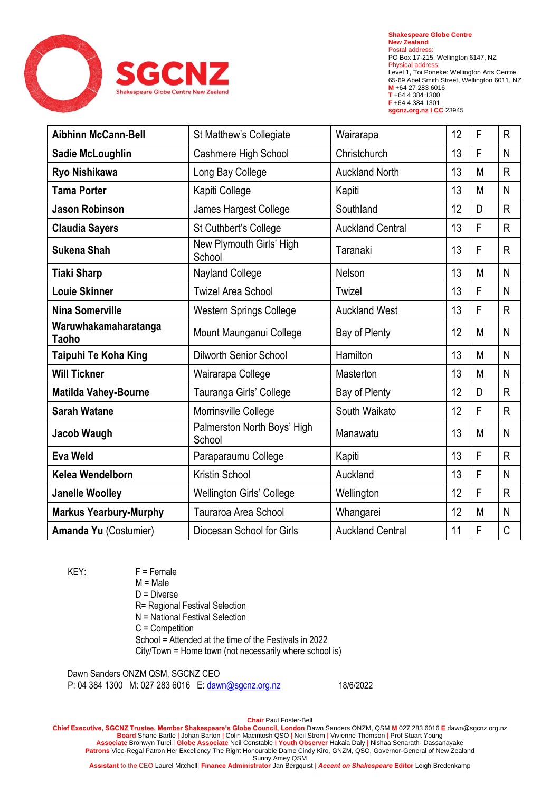

**Shakespeare Globe Centre New Zealand** Postal address: PO Box 17-215, Wellington 6147, NZ Physical address: Level 1, Toi Poneke: Wellington Arts Centre 65-69 Abel Smith Street, Wellington 6011, NZ **M** +64 27 283 6016 **T** +64 4 384 1300 **F** +64 4 384 1301 **sgcnz.org.nz I CC** 23945

| <b>Aibhinn McCann-Bell</b>    | St Matthew's Collegiate               | Wairarapa               | 12 | F | $\mathsf{R}$ |
|-------------------------------|---------------------------------------|-------------------------|----|---|--------------|
| Sadie McLoughlin              | Cashmere High School                  | Christchurch            | 13 | F | N            |
| Ryo Nishikawa                 | Long Bay College                      | <b>Auckland North</b>   | 13 | M | $\mathsf{R}$ |
| <b>Tama Porter</b>            | Kapiti College                        | Kapiti                  | 13 | M | N            |
| <b>Jason Robinson</b>         | James Hargest College                 | Southland               | 12 | D | $\mathsf{R}$ |
| <b>Claudia Sayers</b>         | St Cuthbert's College                 | <b>Auckland Central</b> | 13 | F | $\mathsf{R}$ |
| <b>Sukena Shah</b>            | New Plymouth Girls' High<br>School    | Taranaki                | 13 | F | $\mathsf{R}$ |
| <b>Tiaki Sharp</b>            | Nayland College                       | Nelson                  | 13 | M | N            |
| <b>Louie Skinner</b>          | <b>Twizel Area School</b>             | Twizel                  | 13 | F | N            |
| Nina Somerville               | <b>Western Springs College</b>        | <b>Auckland West</b>    | 13 | F | R            |
| Waruwhakamaharatanga<br>Taoho | Mount Maunganui College               | Bay of Plenty           | 12 | M | N            |
| Taipuhi Te Koha King          | <b>Dilworth Senior School</b>         | Hamilton                | 13 | M | N            |
| <b>Will Tickner</b>           | Wairarapa College                     | Masterton               | 13 | M | N            |
| <b>Matilda Vahey-Bourne</b>   | Tauranga Girls' College               | Bay of Plenty           | 12 | D | $\mathsf{R}$ |
| <b>Sarah Watane</b>           | Morrinsville College                  | South Waikato           | 12 | F | $\mathsf{R}$ |
| Jacob Waugh                   | Palmerston North Boys' High<br>School | Manawatu                | 13 | M | N            |
| <b>Eva Weld</b>               | Paraparaumu College                   | Kapiti                  | 13 | F | $\mathsf{R}$ |
| Kelea Wendelborn              | Kristin School                        | Auckland                | 13 | F | N            |
| <b>Janelle Woolley</b>        | Wellington Girls' College             | Wellington              | 12 | F | R            |
| <b>Markus Yearbury-Murphy</b> | Tauraroa Area School                  | Whangarei               | 12 | M | $\mathsf{N}$ |
| Amanda Yu (Costumier)         | Diocesan School for Girls             | <b>Auckland Central</b> | 11 | F | $\mathsf C$  |

 $KEY: F = Female$  $M = Male$ D = Diverse R= Regional Festival Selection N = National Festival Selection C = Competition School = Attended at the time of the Festivals in 2022 City/Town = Home town (not necessarily where school is)

Dawn Sanders ONZM QSM, SGCNZ CEO P: 04 384 1300 M: 027 283 6016 E: [dawn@sgcnz.org.nz](mailto:dawn@sgcnz.org.nz) 18/6/2022

**Chair** Paul Foster-Bell **Chief Executive, SGCNZ Trustee, Member Shakespeare's Globe Council, London** Dawn Sanders ONZM, QSM **M** 027 283 6016 **E** dawn@sgcnz.org.nz **Board** Shane Bartle | Johan Barton | Colin Macintosh QSO | Neil Strom | Vivienne Thomson | Prof Stuart Young **Associate** Bronwyn Turei l **Globe Associate** Neil Constable I **Youth Observer** Hakaia Daly | Nishaa Senarath- Dassanayake **Patrons** Vice-Regal Patron Her Excellency The Right Honourable Dame Cindy Kiro, GNZM, QSO, Governor-General of New Zealand Sunny Amey QSM

**Assistant** to the CEO Laurel Mitchell| **Finance Administrator** Jan Bergquist | *Accent on Shakespeare* **Editor** Leigh Bredenkamp